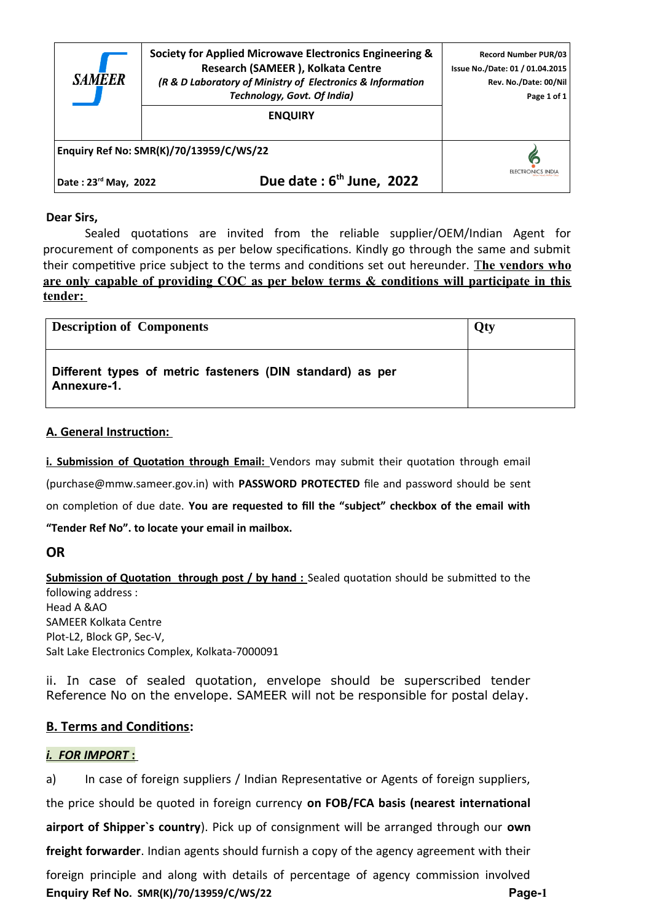| <b>SAMEER</b>                           | Society for Applied Microwave Electronics Engineering &<br>Research (SAMEER), Kolkata Centre<br>(R & D Laboratory of Ministry of Electronics & Information<br>Technology, Govt. Of India)<br><b>ENQUIRY</b> | <b>Record Number PUR/03</b><br>Issue No./Date: 01 / 01.04.2015<br>Rev. No./Date: 00/Nil<br>Page 1 of 1 |
|-----------------------------------------|-------------------------------------------------------------------------------------------------------------------------------------------------------------------------------------------------------------|--------------------------------------------------------------------------------------------------------|
| Enquiry Ref No: SMR(K)/70/13959/C/WS/22 |                                                                                                                                                                                                             |                                                                                                        |
| Date: 23rd May, 2022                    | Due date: $6th$ June, 2022                                                                                                                                                                                  |                                                                                                        |

#### **Dear Sirs,**

Sealed quotations are invited from the reliable supplier/OEM/Indian Agent for procurement of components as per below specifications. Kindly go through the same and submit their competitive price subject to the terms and conditions set out hereunder. The vendors who **are only capable of providing COC as per below terms & conditions will participate in this tender:** 

| <b>Description of Components</b>                                         | Qty |
|--------------------------------------------------------------------------|-----|
| Different types of metric fasteners (DIN standard) as per<br>Annexure-1. |     |

#### **A. General Instruction:**

**i. Submission of Quotation through Email:** Vendors may submit their quotation through email (purchase@mmw.sameer.gov.in) with **PASSWORD PROTECTED** file and password should be sent on completion of due date. **You are requested to fill the "subject" checkbox of the email with "Tender Ref No". to locate your email in mailbox.**

### **OR**

**Submission of Quotation through post / by hand :** Sealed quotation should be submitted to the following address : Head A &AO SAMEER Kolkata Centre Plot-L2, Block GP, Sec-V, Salt Lake Electronics Complex, Kolkata-7000091

ii. In case of sealed quotation, envelope should be superscribed tender Reference No on the envelope. SAMEER will not be responsible for postal delay.

### **B. Terms and Conditions:**

### *i. FOR IMPORT* **:**

a) In case of foreign suppliers / Indian Representative or Agents of foreign suppliers, the price should be quoted in foreign currency **on FOB/FCA basis (nearest international airport of Shipper`s country**). Pick up of consignment will be arranged through our **own freight forwarder**. Indian agents should furnish a copy of the agency agreement with their foreign principle and along with details of percentage of agency commission involved **Enquiry Ref No. SMR(K)/70/13959/C/WS/22 Page-1**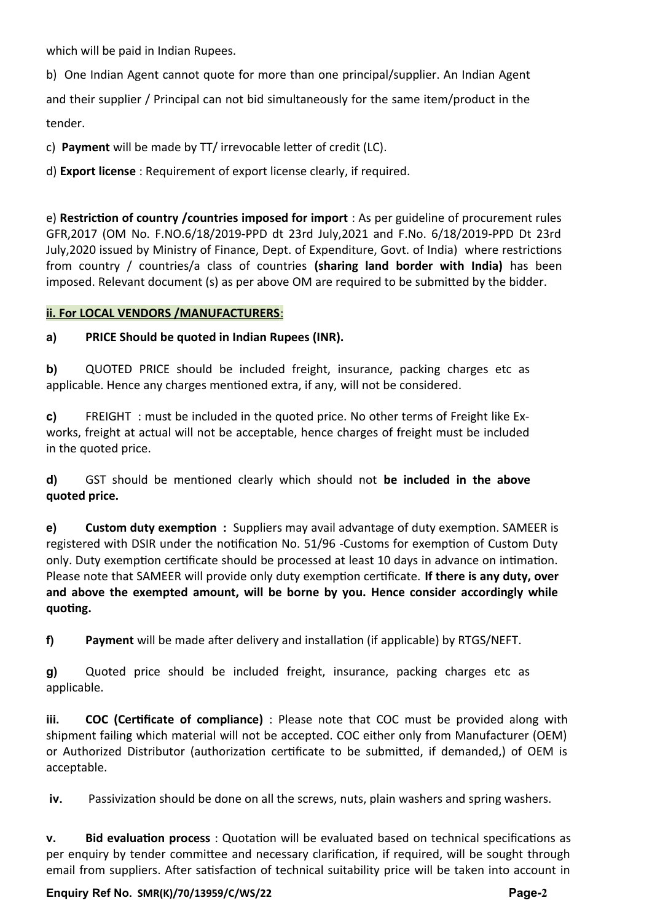which will be paid in Indian Rupees.

b) One Indian Agent cannot quote for more than one principal/supplier. An Indian Agent and their supplier / Principal can not bid simultaneously for the same item/product in the tender.

c) **Payment** will be made by TT/ irrevocable letter of credit (LC).

d) **Export license** : Requirement of export license clearly, if required.

e) **Restriction of country /countries imposed for import** : As per guideline of procurement rules GFR,2017 (OM No. F.NO.6/18/2019-PPD dt 23rd July,2021 and F.No. 6/18/2019-PPD Dt 23rd July,2020 issued by Ministry of Finance, Dept. of Expenditure, Govt. of India) where restrictions from country / countries/a class of countries **(sharing land border with India)** has been imposed. Relevant document (s) as per above OM are required to be submitted by the bidder.

### **ii. For LOCAL VENDORS /MANUFACTURERS** :

# **a) PRICE Should be quoted in Indian Rupees (INR).**

**b)** QUOTED PRICE should be included freight, insurance, packing charges etc as applicable. Hence any charges mentioned extra, if any, will not be considered.

**c)** FREIGHT : must be included in the quoted price. No other terms of Freight like Exworks, freight at actual will not be acceptable, hence charges of freight must be included in the quoted price.

**d)** GST should be mentioned clearly which should not **be included in the above quoted price.**

**e) Custom duty exemption :** Suppliers may avail advantage of duty exemption. SAMEER is registered with DSIR under the notification No. 51/96 -Customs for exemption of Custom Duty only. Duty exemption certificate should be processed at least 10 days in advance on intimation. Please note that SAMEER will provide only duty exemption certificate. **If there is any duty, over and above the exempted amount, will be borne by you. Hence consider accordingly while quoting.**

**f) Payment** will be made after delivery and installation (if applicable) by RTGS/NEFT.

**g)** Quoted price should be included freight, insurance, packing charges etc as applicable.

**iii. COC (Certificate of compliance)** : Please note that COC must be provided along with shipment failing which material will not be accepted. COC either only from Manufacturer (OEM) or Authorized Distributor (authorization certificate to be submitted, if demanded,) of OEM is acceptable.

**iv.** Passivization should be done on all the screws, nuts, plain washers and spring washers.

**v. Bid evaluation process** : Quotation will be evaluated based on technical specifications as per enquiry by tender committee and necessary clarification, if required, will be sought through email from suppliers. After satisfaction of technical suitability price will be taken into account in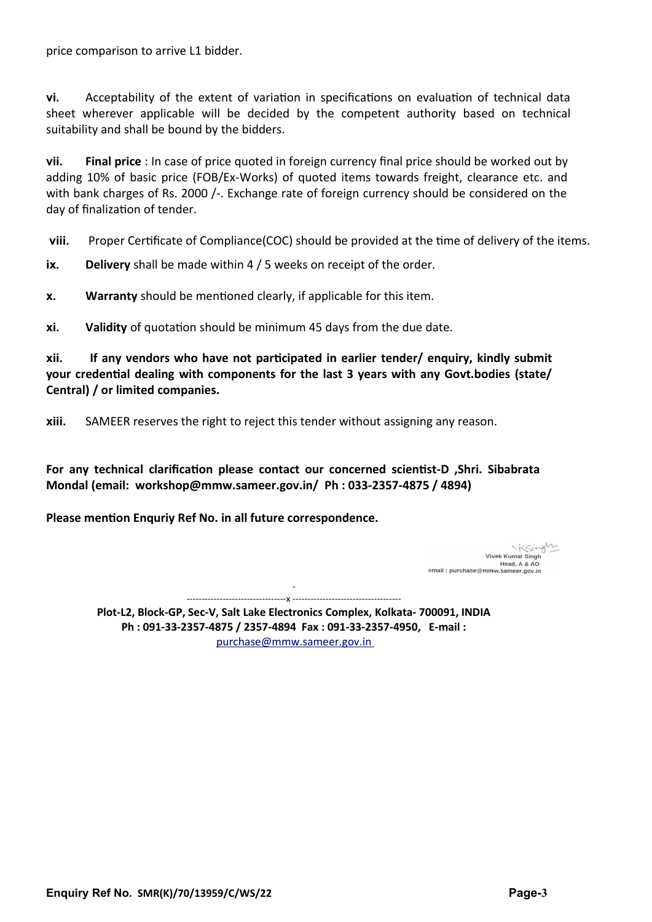price comparison to arrive L1 bidder.

**vi.** Acceptability of the extent of variation in specifications on evaluation of technical data sheet wherever applicable will be decided by the competent authority based on technical suitability and shall be bound by the bidders.

**vii. Final price** : In case of price quoted in foreign currency final price should be worked out by adding 10% of basic price (FOB/Ex-Works) of quoted items towards freight, clearance etc. and with bank charges of Rs. 2000 /-. Exchange rate of foreign currency should be considered on the day of finalization of tender.

**viii.** Proper Certificate of Compliance(COC) should be provided at the time of delivery of the items.

**ix. Delivery** shall be made within 4 / 5 weeks on receipt of the order.

**x. Warranty** should be mentioned clearly, if applicable for this item.

**xi. Validity** of quotation should be minimum 45 days from the due date.

**xii. If any vendors who have not participated in earlier tender/ enquiry, kindly submit your credential dealing with components for the last 3 years with any Govt.bodies (state/ Central) / or limited companies.** 

**xiii.** SAMEER reserves the right to reject this tender without assigning any reason.

**For any technical clarification please contact our concerned scientist-D ,Shri. Sibabrata Mondal (email: workshop@mmw.sameer.gov.in/ Ph : 033-2357-4875 / 4894)** 

**Please mention Enquriy Ref No. in all future correspondence.**

Ksingly Vivek Kumar Singh Head, A & AO email: purchase@mmw.sameer.gov.in

- ---------------------------------x ------------------------------------

**Plot-L2, Block-GP, Sec-V, Salt Lake Electronics Complex, Kolkata- 700091, INDIA Ph : 091-33-2357-4875 / 2357-4894 Fax : 091-33-2357-4950, E-mail :** purchase@mmw.sameer.gov.in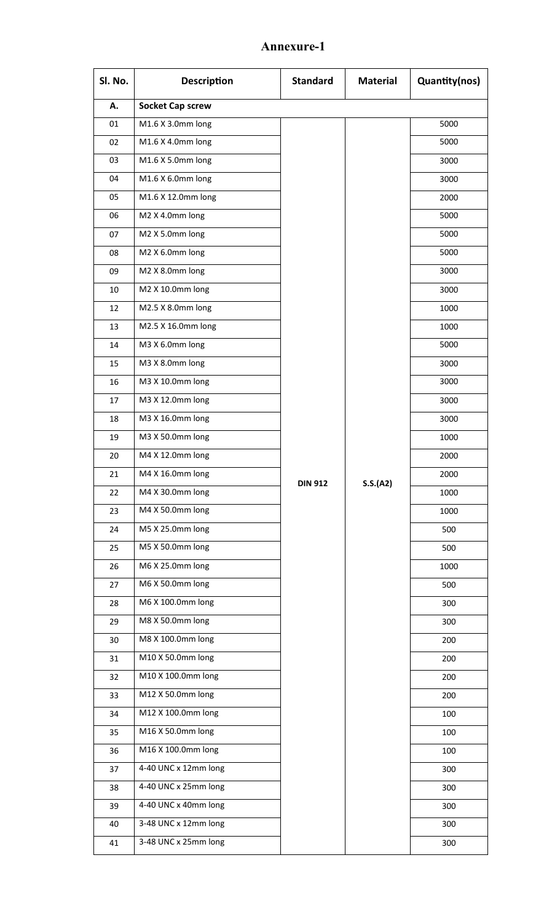# **Annexure-1**

| Sl. No. | <b>Description</b>      | <b>Standard</b> | <b>Material</b> | Quantity(nos) |
|---------|-------------------------|-----------------|-----------------|---------------|
| А.      | <b>Socket Cap screw</b> |                 |                 |               |
| 01      | M1.6 X 3.0mm long       |                 |                 | 5000          |
| 02      | M1.6 X 4.0mm long       |                 |                 | 5000          |
| 03      | M1.6 X 5.0mm long       |                 |                 | 3000          |
| 04      | M1.6 X 6.0mm long       |                 |                 | 3000          |
| 05      | M1.6 X 12.0mm long      |                 |                 | 2000          |
| 06      | M2 X 4.0mm long         |                 |                 | 5000          |
| 07      | M2 X 5.0mm long         |                 |                 | 5000          |
| 08      | M2 X 6.0mm long         |                 |                 | 5000          |
| 09      | M2 X 8.0mm long         |                 |                 | 3000          |
| 10      | M2 X 10.0mm long        |                 |                 | 3000          |
| 12      | M2.5 X 8.0mm long       |                 |                 | 1000          |
| 13      | M2.5 X 16.0mm long      |                 |                 | 1000          |
| 14      | M3 X 6.0mm long         |                 |                 | 5000          |
| 15      | M3 X 8.0mm long         |                 |                 | 3000          |
| 16      | M3 X 10.0mm long        |                 |                 | 3000          |
| 17      | M3 X 12.0mm long        |                 |                 | 3000          |
| 18      | M3 X 16.0mm long        |                 |                 | 3000          |
| 19      | M3 X 50.0mm long        |                 |                 | 1000          |
| 20      | M4 X 12.0mm long        |                 |                 | 2000          |
| 21      | M4 X 16.0mm long        | <b>DIN 912</b>  | S.S.(A2)        | 2000          |
| 22      | M4 X 30.0mm long        |                 |                 | 1000          |
| 23      | M4 X 50.0mm long        |                 |                 | 1000          |
| 24      | M5 X 25.0mm long        |                 |                 | 500           |
| 25      | M5 X 50.0mm long        |                 |                 | 500           |
| 26      | M6 X 25.0mm long        |                 |                 | 1000          |
| 27      | M6 X 50.0mm long        |                 |                 | 500           |
| 28      | M6 X 100.0mm long       |                 |                 | 300           |
| 29      | M8 X 50.0mm long        |                 |                 | 300           |
| 30      | M8 X 100.0mm long       |                 |                 | 200           |
| 31      | M10 X 50.0mm long       |                 |                 | 200           |
| 32      | M10 X 100.0mm long      |                 |                 | 200           |
| 33      | M12 X 50.0mm long       |                 |                 | 200           |
| 34      | M12 X 100.0mm long      |                 |                 | 100           |
| 35      | M16 X 50.0mm long       |                 |                 | 100           |
| 36      | M16 X 100.0mm long      |                 |                 | 100           |
| 37      | 4-40 UNC x 12mm long    |                 |                 | 300           |
| 38      | 4-40 UNC x 25mm long    |                 |                 | 300           |
| 39      | 4-40 UNC x 40mm long    |                 |                 | 300           |
| 40      | 3-48 UNC x 12mm long    |                 |                 | 300           |
| 41      | 3-48 UNC x 25mm long    |                 |                 | 300           |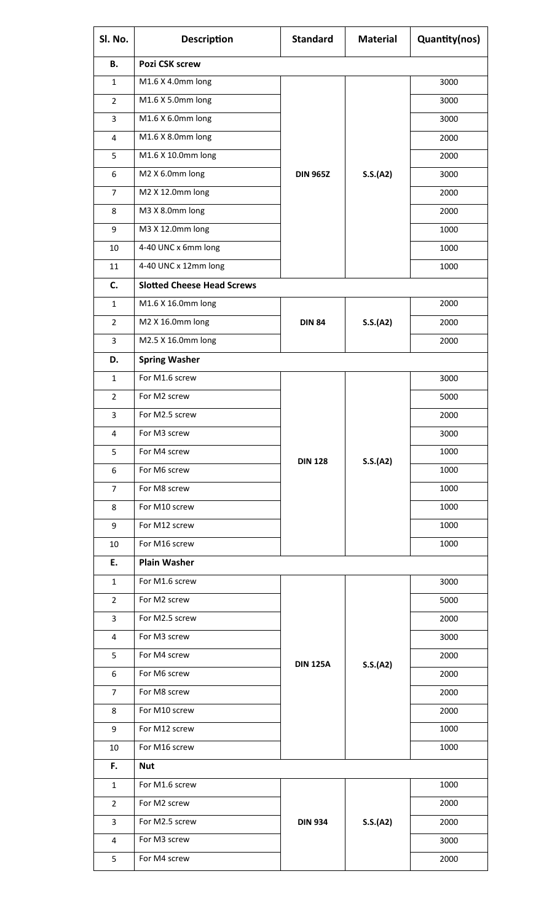| Sl. No.        | <b>Description</b>                | <b>Standard</b>            | <b>Material</b> | Quantity(nos) |
|----------------|-----------------------------------|----------------------------|-----------------|---------------|
| В.             | Pozi CSK screw                    |                            |                 |               |
| $\mathbf{1}$   | M1.6 X 4.0mm long                 |                            |                 | 3000          |
| $\overline{2}$ | M1.6 X 5.0mm long                 |                            |                 | 3000          |
| 3              | M1.6 X 6.0mm long                 |                            | 3000            |               |
| 4              | M1.6 X 8.0mm long                 |                            |                 | 2000          |
| 5              | M1.6 X 10.0mm long                |                            |                 | 2000          |
| 6              | M2 X 6.0mm long                   | <b>DIN 965Z</b>            | S.S.(A2)        | 3000          |
| $\overline{7}$ | M2 X 12.0mm long                  |                            |                 | 2000          |
| 8              | M3 X 8.0mm long                   |                            |                 | 2000          |
| 9              | M3 X 12.0mm long                  |                            |                 | 1000          |
| 10             | 4-40 UNC x 6mm long               |                            |                 | 1000          |
| 11             | 4-40 UNC x 12mm long              |                            |                 | 1000          |
| C.             | <b>Slotted Cheese Head Screws</b> |                            |                 |               |
| $\mathbf{1}$   | M1.6 X 16.0mm long                |                            |                 | 2000          |
| $\overline{2}$ | M2 X 16.0mm long                  | <b>DIN 84</b>              | S.S.(A2)        | 2000          |
| 3              | M2.5 X 16.0mm long                |                            |                 | 2000          |
| D.             | <b>Spring Washer</b>              |                            |                 |               |
| $\mathbf{1}$   | For M1.6 screw                    |                            |                 | 3000          |
| $\overline{2}$ | For M2 screw                      |                            |                 | 5000          |
| 3              | For M2.5 screw                    |                            |                 | 2000          |
| 4              | For M3 screw                      |                            |                 | 3000          |
| 5              | For M4 screw                      |                            |                 | 1000          |
| 6              | For M6 screw                      | <b>DIN 128</b>             | S.S.(A2)        | 1000          |
| $\overline{7}$ | For M8 screw                      |                            |                 | 1000          |
| 8              | For M10 screw                     |                            |                 | 1000          |
| 9              | For M12 screw                     |                            | 1000            |               |
| 10             | For M16 screw                     |                            | 1000            |               |
| E.             | <b>Plain Washer</b>               |                            |                 |               |
| $\mathbf{1}$   | For M1.6 screw                    |                            |                 | 3000          |
| $\overline{2}$ | For M2 screw                      |                            |                 | 5000          |
| 3              | For M2.5 screw                    |                            | S.S.(A2)        | 2000          |
| 4              | For M3 screw                      |                            |                 | 3000          |
| 5              | For M4 screw                      | <b>DIN 125A</b>            |                 | 2000          |
| 6              | For M6 screw                      |                            |                 | 2000          |
| $\overline{7}$ | For M8 screw                      |                            |                 | 2000          |
| 8              | For M10 screw                     |                            |                 | 2000          |
| 9              | For M12 screw                     |                            |                 | 1000          |
| 10             | For M16 screw                     |                            |                 | 1000          |
| F.             | <b>Nut</b>                        |                            |                 |               |
| $\mathbf{1}$   | For M1.6 screw                    |                            |                 | 1000          |
| $\overline{2}$ | For M2 screw                      | S.S.(A2)<br><b>DIN 934</b> |                 | 2000          |
| 3              | For M2.5 screw                    |                            |                 | 2000          |
| 4              | For M3 screw                      |                            |                 | 3000          |
| 5              | For M4 screw                      |                            |                 | 2000          |